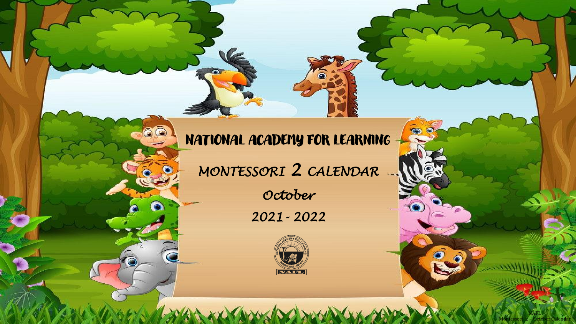## NATIONAL ACADEMY FOR LEARNING

 $\epsilon$ 

60

 $\overline{\mathbf{C}}$ 

*MONTESSORI 2 CALENDAR* 

*October 2021- 2022*



 $20$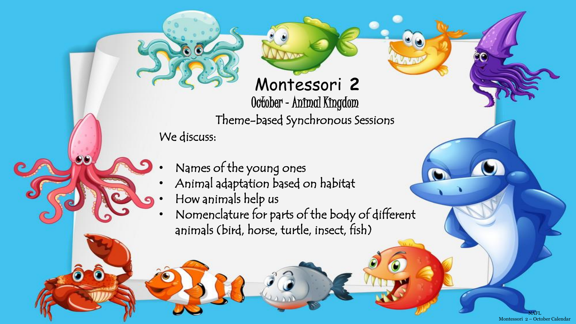## Montessori **2**  October –Animal Kingdom

Theme-based Synchronous Sessions

We discuss:

- Names of the young ones
- Animal adaptation based on habitat
- How animals help us
- Nomenclature for parts of the body of different animals (bird, horse, turtle, insect, fish)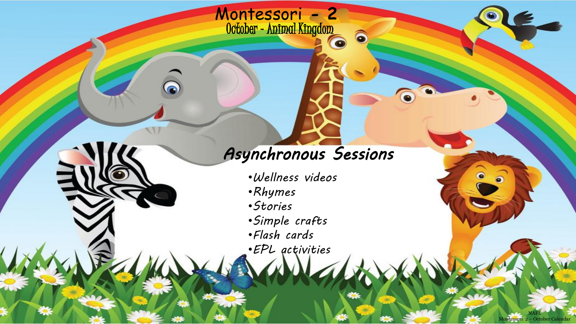## *Asynchronous Sessions*

 $\widehat{\bullet}$ 

 $\bullet$ 

NAFL Montessori 2 – October Calendar

 $\bullet$ 

 $\bullet$ 

•*Wellness videos*

Montessori **- 2** 

October –Animal Kingdom

- •*Rhymes*
- •*Stories*
- •*Simple crafts*
- •*Flash cards*
- •*EPL activities*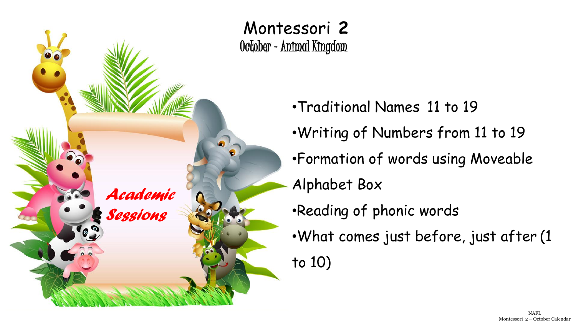

•Traditional Names 11 to 19 •Writing of Numbers from 11 to 19 •Formation of words using Moveable Alphabet Box •Reading of phonic words •What comes just before, just after (1 to 10)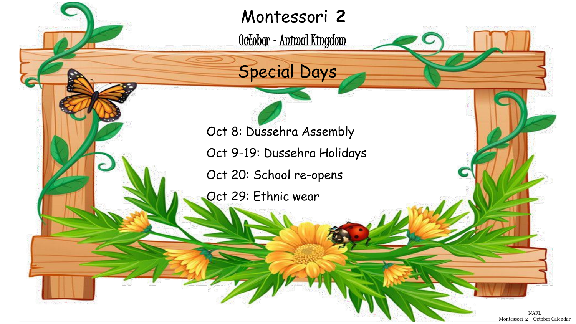Montessori **2** 

October –Animal Kingdom



Oct 8: Dussehra Assembly

Oct 9-19: Dussehra Holidays

Oct 20: School re-opens

Oct 29: Ethnic wear